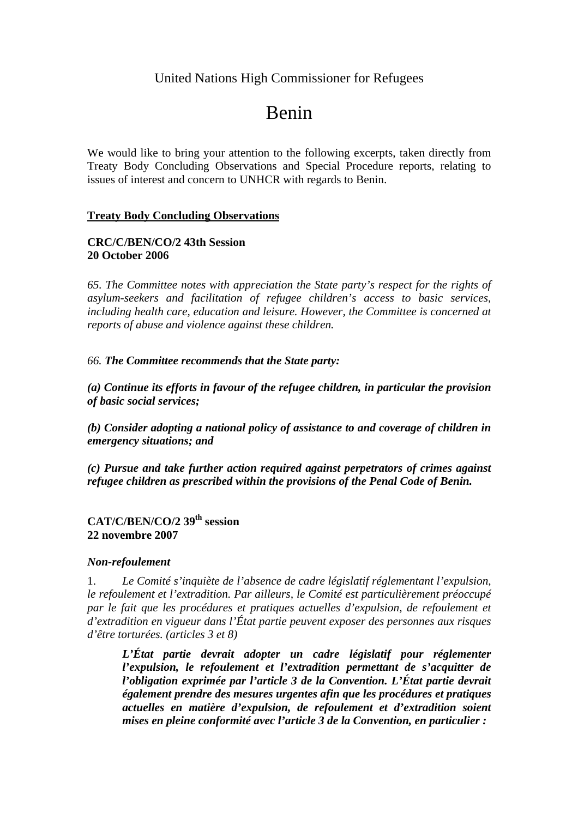# United Nations High Commissioner for Refugees

# Benin

We would like to bring your attention to the following excerpts, taken directly from Treaty Body Concluding Observations and Special Procedure reports, relating to issues of interest and concern to UNHCR with regards to Benin.

#### **Treaty Body Concluding Observations**

#### **CRC/C/BEN/CO/2 43th Session 20 October 2006**

*65. The Committee notes with appreciation the State party's respect for the rights of asylum-seekers and facilitation of refugee children's access to basic services, including health care, education and leisure. However, the Committee is concerned at reports of abuse and violence against these children.* 

#### *66. The Committee recommends that the State party:*

*(a) Continue its efforts in favour of the refugee children, in particular the provision of basic social services;* 

*(b) Consider adopting a national policy of assistance to and coverage of children in emergency situations; and* 

*(c) Pursue and take further action required against perpetrators of crimes against refugee children as prescribed within the provisions of the Penal Code of Benin.* 

## **CAT/C/BEN/CO/2 39th session 22 novembre 2007**

#### *Non-refoulement*

1. *Le Comité s'inquiète de l'absence de cadre législatif réglementant l'expulsion, le refoulement et l'extradition. Par ailleurs, le Comité est particulièrement préoccupé*  par le fait que les procédures et pratiques actuelles d'expulsion, de refoulement et *d'extradition en vigueur dans l'État partie peuvent exposer des personnes aux risques d'être torturées. (articles 3 et 8)* 

L'État partie devrait adopter un cadre législatif pour réglementer *l'expulsion, le refoulement et l'extradition permettant de s'acquitter de l'obligation exprimée par l'article 3 de la Convention. L'État partie devrait également prendre des mesures urgentes afin que les procédures et pratiques actuelles en matière d'expulsion, de refoulement et d'extradition soient mises en pleine conformité avec l'article 3 de la Convention, en particulier :*